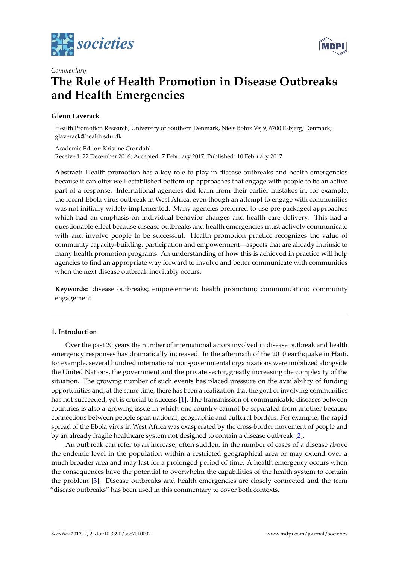



# *Commentary* **The Role of Health Promotion in Disease Outbreaks and Health Emergencies**

## **Glenn Laverack**

Health Promotion Research, University of Southern Denmark, Niels Bohrs Vej 9, 6700 Esbjerg, Denmark; glaverack@health.sdu.dk

Academic Editor: Kristine Crondahl Received: 22 December 2016; Accepted: 7 February 2017; Published: 10 February 2017

**Abstract:** Health promotion has a key role to play in disease outbreaks and health emergencies because it can offer well-established bottom-up approaches that engage with people to be an active part of a response. International agencies did learn from their earlier mistakes in, for example, the recent Ebola virus outbreak in West Africa, even though an attempt to engage with communities was not initially widely implemented. Many agencies preferred to use pre-packaged approaches which had an emphasis on individual behavior changes and health care delivery. This had a questionable effect because disease outbreaks and health emergencies must actively communicate with and involve people to be successful. Health promotion practice recognizes the value of community capacity-building, participation and empowerment—aspects that are already intrinsic to many health promotion programs. An understanding of how this is achieved in practice will help agencies to find an appropriate way forward to involve and better communicate with communities when the next disease outbreak inevitably occurs.

**Keywords:** disease outbreaks; empowerment; health promotion; communication; community engagement

## **1. Introduction**

Over the past 20 years the number of international actors involved in disease outbreak and health emergency responses has dramatically increased. In the aftermath of the 2010 earthquake in Haiti, for example, several hundred international non-governmental organizations were mobilized alongside the United Nations, the government and the private sector, greatly increasing the complexity of the situation. The growing number of such events has placed pressure on the availability of funding opportunities and, at the same time, there has been a realization that the goal of involving communities has not succeeded, yet is crucial to success [\[1\]](#page-2-0). The transmission of communicable diseases between countries is also a growing issue in which one country cannot be separated from another because connections between people span national, geographic and cultural borders. For example, the rapid spread of the Ebola virus in West Africa was exasperated by the cross-border movement of people and by an already fragile healthcare system not designed to contain a disease outbreak [\[2\]](#page-2-1).

An outbreak can refer to an increase, often sudden, in the number of cases of a disease above the endemic level in the population within a restricted geographical area or may extend over a much broader area and may last for a prolonged period of time. A health emergency occurs when the consequences have the potential to overwhelm the capabilities of the health system to contain the problem [\[3\]](#page-2-2). Disease outbreaks and health emergencies are closely connected and the term "disease outbreaks" has been used in this commentary to cover both contexts.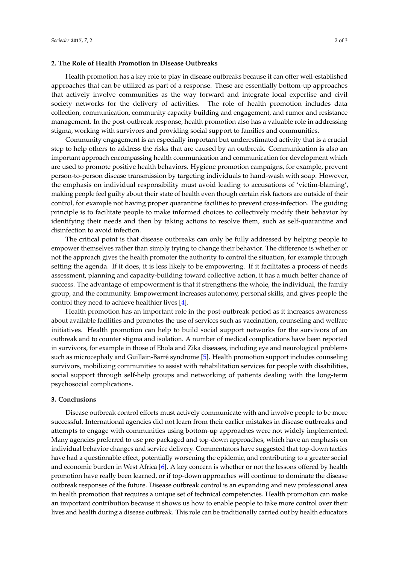#### **2. The Role of Health Promotion in Disease Outbreaks**

Health promotion has a key role to play in disease outbreaks because it can offer well-established approaches that can be utilized as part of a response. These are essentially bottom-up approaches that actively involve communities as the way forward and integrate local expertise and civil society networks for the delivery of activities. The role of health promotion includes data collection, communication, community capacity-building and engagement, and rumor and resistance management. In the post-outbreak response, health promotion also has a valuable role in addressing stigma, working with survivors and providing social support to families and communities.

Community engagement is an especially important but underestimated activity that is a crucial step to help others to address the risks that are caused by an outbreak. Communication is also an important approach encompassing health communication and communication for development which are used to promote positive health behaviors. Hygiene promotion campaigns, for example, prevent person-to-person disease transmission by targeting individuals to hand-wash with soap. However, the emphasis on individual responsibility must avoid leading to accusations of 'victim-blaming', making people feel guilty about their state of health even though certain risk factors are outside of their control, for example not having proper quarantine facilities to prevent cross-infection. The guiding principle is to facilitate people to make informed choices to collectively modify their behavior by identifying their needs and then by taking actions to resolve them, such as self-quarantine and disinfection to avoid infection.

The critical point is that disease outbreaks can only be fully addressed by helping people to empower themselves rather than simply trying to change their behavior. The difference is whether or not the approach gives the health promoter the authority to control the situation, for example through setting the agenda. If it does, it is less likely to be empowering. If it facilitates a process of needs assessment, planning and capacity-building toward collective action, it has a much better chance of success. The advantage of empowerment is that it strengthens the whole, the individual, the family group, and the community. Empowerment increases autonomy, personal skills, and gives people the control they need to achieve healthier lives [\[4\]](#page-2-3).

Health promotion has an important role in the post-outbreak period as it increases awareness about available facilities and promotes the use of services such as vaccination, counseling and welfare initiatives. Health promotion can help to build social support networks for the survivors of an outbreak and to counter stigma and isolation. A number of medical complications have been reported in survivors, for example in those of Ebola and Zika diseases, including eye and neurological problems such as microcephaly and Guillain-Barré syndrome [\[5\]](#page-2-4). Health promotion support includes counseling survivors, mobilizing communities to assist with rehabilitation services for people with disabilities, social support through self-help groups and networking of patients dealing with the long-term psychosocial complications.

#### **3. Conclusions**

Disease outbreak control efforts must actively communicate with and involve people to be more successful. International agencies did not learn from their earlier mistakes in disease outbreaks and attempts to engage with communities using bottom-up approaches were not widely implemented. Many agencies preferred to use pre-packaged and top-down approaches, which have an emphasis on individual behavior changes and service delivery. Commentators have suggested that top-down tactics have had a questionable effect, potentially worsening the epidemic, and contributing to a greater social and economic burden in West Africa [\[6\]](#page-2-5). A key concern is whether or not the lessons offered by health promotion have really been learned, or if top-down approaches will continue to dominate the disease outbreak responses of the future. Disease outbreak control is an expanding and new professional area in health promotion that requires a unique set of technical competencies. Health promotion can make an important contribution because it shows us how to enable people to take more control over their lives and health during a disease outbreak. This role can be traditionally carried out by health educators